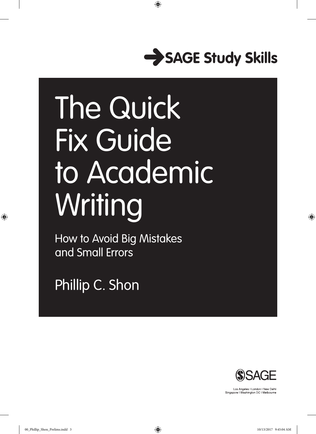

 $\bigoplus$ 

How to Avoid Big Mistakes and Small Errors

Phillip C. Shon



Los Angeles | London | New Delhi<br>Singapore | Washington DC | Melbourne

⊕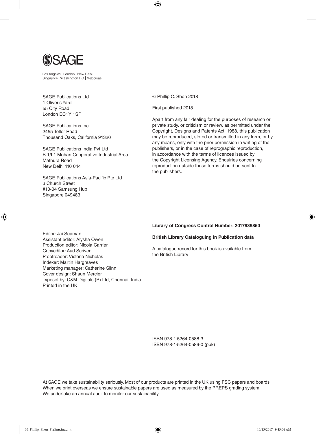

Los Angeles | London | New Delhi Singapore | Washington DC | Melbourne

SAGE Publications Ltd 1 Oliver's Yard 55 City Road London EC1Y 1SP

Editor: Jai Seaman

⊕

SAGE Publications Inc. 2455 Teller Road Thousand Oaks, California 91320

SAGE Publications India Pvt Ltd B 1/I 1 Mohan Cooperative Industrial Area Mathura Road New Delhi 110 044

SAGE Publications Asia-Pacific Pte Ltd 3 Church Street #10-04 Samsung Hub Singapore 049483

Phillip C. Shon 2018

First published 2018

 $\bigoplus$ 

Apart from any fair dealing for the purposes of research or private study, or criticism or review, as permitted under the Copyright, Designs and Patents Act, 1988, this publication may be reproduced, stored or transmitted in any form, or by any means, only with the prior permission in writing of the publishers, or in the case of reprographic reproduction, in accordance with the terms of licences issued by the Copyright Licensing Agency. Enquiries concerning reproduction outside those terms should be sent to the publishers.

#### **Library of Congress Control Number: 2017939850**

**British Library Cataloguing in Publication data**

A catalogue record for this book is available from the British Library

ISBN 978-1-5264-0588-3 ISBN 978-1-5264-0589-0 (pbk)

At SAGE we take sustainability seriously. Most of our products are printed in the UK using FSC papers and boards. When we print overseas we ensure sustainable papers are used as measured by the PREPS grading system. We undertake an annual audit to monitor our sustainability.

Assistant editor: Alysha Owen Production editor: Nicola Carrier Copyeditor: Aud Scriven Proofreader: Victoria Nicholas Indexer: Martin Hargreaves Marketing manager: Catherine Slinn Cover design: Shaun Mercier Typeset by: C&M Digitals (P) Ltd, Chennai, India Printed in the UK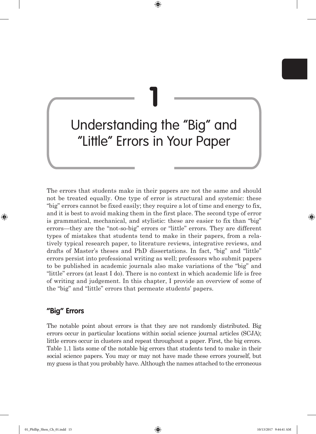# Understanding the "Big" and "Little" Errors in Your Paper

**1**

 $\bigoplus$ 

The errors that students make in their papers are not the same and should not be treated equally. One type of error is structural and systemic: these "big" errors cannot be fixed easily; they require a lot of time and energy to fix, and it is best to avoid making them in the first place. The second type of error is grammatical, mechanical, and stylistic: these are easier to fix than "big" errors—they are the "not-so-big" errors or "little" errors. They are different types of mistakes that students tend to make in their papers, from a relatively typical research paper, to literature reviews, integrative reviews, and drafts of Master's theses and PhD dissertations. In fact, "big" and "little" errors persist into professional writing as well; professors who submit papers to be published in academic journals also make variations of the "big" and "little" errors (at least I do). There is no context in which academic life is free of writing and judgement. In this chapter, I provide an overview of some of the "big" and "little" errors that permeate students' papers.

# **"Big" Errors**

⊕

The notable point about errors is that they are not randomly distributed. Big errors occur in particular locations within social science journal articles (SCJA); little errors occur in clusters and repeat throughout a paper. First, the big errors. Table 1.1 lists some of the notable big errors that students tend to make in their social science papers. You may or may not have made these errors yourself, but my guess is that you probably have. Although the names attached to the erroneous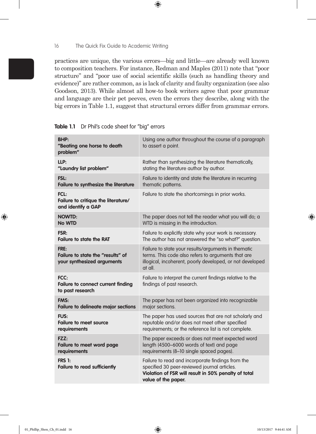practices are unique, the various errors—big and little—are already well known to composition teachers. For instance, Redman and Maples (2011) note that "poor structure" and "poor use of social scientific skills (such as handling theory and evidence)" are rather common, as is lack of clarity and faulty organization (see also Goodson, 2013). While almost all how-to book writers agree that poor grammar and language are their pet peeves, even the errors they describe, along with the big errors in Table 1.1, suggest that structural errors differ from grammar errors.

 $\bigoplus$ 

| BHP:<br>"Beating one horse to death<br>problem"                         | Using one author throughout the course of a paragraph<br>to assert a point.                                                                                                       |
|-------------------------------------------------------------------------|-----------------------------------------------------------------------------------------------------------------------------------------------------------------------------------|
| LLP:                                                                    | Rather than synthesizing the literature thematically,                                                                                                                             |
| "Laundry list problem"                                                  | stating the literature author by author.                                                                                                                                          |
| FSL:                                                                    | Failure to identity and state the literature in recurring                                                                                                                         |
| <b>Failure to synthesize the literature</b>                             | thematic patterns.                                                                                                                                                                |
| FCL:<br>Failure to critique the literature/<br>and identify a GAP       | Failure to state the shortcomings in prior works.                                                                                                                                 |
| <b>NOWTD:</b>                                                           | The paper does not tell the reader what you will do; a                                                                                                                            |
| <b>No WTD</b>                                                           | WTD is missing in the introduction.                                                                                                                                               |
| FSR:                                                                    | Failure to explicitly state why your work is necessary.                                                                                                                           |
| <b>Failure to state the RAT</b>                                         | The author has not answered the "so what?" question.                                                                                                                              |
| FRE:<br>Failure to state the "results" of<br>your synthesized arguments | Failure to state your results/arguments in thematic<br>terms. This code also refers to arguments that are<br>illogical, incoherent, poorly developed, or not developed<br>at all. |
| FCC:<br><b>Failure to connect current finding</b><br>to past research   | Failure to interpret the current findings relative to the<br>findings of past research.                                                                                           |
| <b>FMS:</b>                                                             | The paper has not been organized into recognizable                                                                                                                                |
| <b>Failure to delineate major sections</b>                              | major sections.                                                                                                                                                                   |
| FUS:                                                                    | The paper has used sources that are not scholarly and                                                                                                                             |
| <b>Failure to meet source</b>                                           | reputable and/or does not meet other specified                                                                                                                                    |
| requirements                                                            | requirements; or the reference list is not complete.                                                                                                                              |
| FZZ:                                                                    | The paper exceeds or does not meet expected word                                                                                                                                  |
| Failure to meet word page                                               | length (4500-6000 words of text) and page                                                                                                                                         |
| requirements                                                            | requirements (8-10 single spaced pages).                                                                                                                                          |
| <b>FRS 1:</b><br><b>Failure to read sufficiently</b>                    | Failure to read and incorporate findings from the<br>specified 30 peer-reviewed journal articles.<br>Violation of FSR will result in 50% penalty of total<br>value of the paper.  |

# Table 1.1 Dr Phil's code sheet for "big" errors

01\_Phillip\_Shon\_Ch\_01.indd 16 10/13/2017 9:44:41 AM

 $\bigoplus$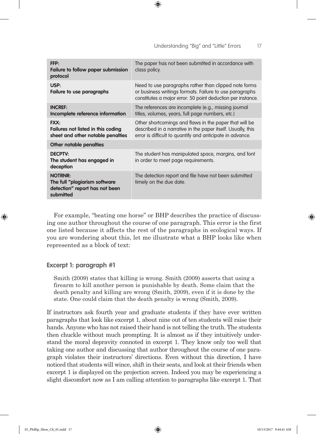| FFP:<br><b>Failure to follow paper submission</b><br>protocol                                  | The paper has not been submitted in accordance with<br>class policy.                                                                                                               |  |
|------------------------------------------------------------------------------------------------|------------------------------------------------------------------------------------------------------------------------------------------------------------------------------------|--|
| USP:<br><b>Failure to use paragraphs</b>                                                       | Need to use paragraphs rather than clipped note forms<br>or business writings formats. Failure to use paragraphs<br>constitutes a major error: 50 point deduction per instance.    |  |
| <b>INCREF:</b><br>Incomplete reference information                                             | The references are incomplete (e.g., missing journal<br>titles, volumes, years, full page numbers, etc.)                                                                           |  |
| <b>FXX:</b><br>Failures not listed in this coding<br>sheet and other notable penalties         | Other shortcomings and flaws in the paper that will be<br>described in a narrative in the paper itself. Usually, this<br>error is difficult to quantify and anticipate in advance. |  |
| <b>Other notable penalties</b>                                                                 |                                                                                                                                                                                    |  |
| <b>DECPTV:</b><br>The student has engaged in<br>deception                                      | The student has manipulated space, margins, and font<br>in order to meet page requirements.                                                                                        |  |
| <b>NOTRNR:</b><br>The full "plagiarism software<br>detection" report has not been<br>submitted | The detection report and file have not been submitted<br>timely on the due date.                                                                                                   |  |

 $\textcircled{\scriptsize{*}}$ 

For example, "beating one horse" or BHP describes the practice of discussing one author throughout the course of one paragraph. This error is the first one listed because it affects the rest of the paragraphs in ecological ways. If you are wondering about this, let me illustrate what a BHP looks like when represented as a block of text:

# **Excerpt 1: paragraph #1**

Smith (2009) states that killing is wrong. Smith (2009) asserts that using a firearm to kill another person is punishable by death. Some claim that the death penalty and killing are wrong (Smith, 2009), even if it is done by the state. One could claim that the death penalty is wrong (Smith, 2009).

If instructors ask fourth year and graduate students if they have ever written paragraphs that look like excerpt 1, about nine out of ten students will raise their hands. Anyone who has not raised their hand is not telling the truth. The students then chuckle without much prompting. It is almost as if they intuitively understand the moral depravity connoted in excerpt 1. They know only too well that taking one author and discussing that author throughout the course of one paragraph violates their instructors' directions. Even without this direction, I have noticed that students will wince, shift in their seats, and look at their friends when excerpt 1 is displayed on the projection screen. Indeed you may be experiencing a slight discomfort now as I am calling attention to paragraphs like excerpt 1. That

⊕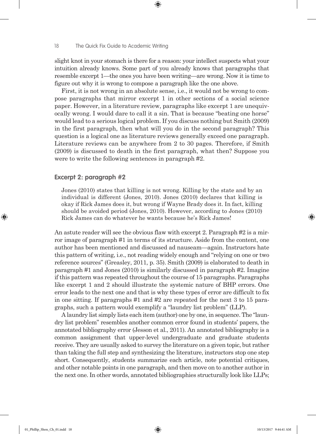slight knot in your stomach is there for a reason: your intellect suspects what your intuition already knows. Some part of you already knows that paragraphs that resemble excerpt 1—the ones you have been writing—are wrong. Now it is time to figure out why it is wrong to compose a paragraph like the one above.

 $\textcircled{\scriptsize{*}}$ 

First, it is not wrong in an absolute sense, i.e., it would not be wrong to compose paragraphs that mirror excerpt 1 in other sections of a social science paper. However, in a literature review, paragraphs like excerpt 1 are unequivocally wrong. I would dare to call it a sin. That is because "beating one horse" would lead to a serious logical problem. If you discuss nothing but Smith (2009) in the first paragraph, then what will you do in the second paragraph? This question is a logical one as literature reviews generally exceed one paragraph. Literature reviews can be anywhere from 2 to 30 pages. Therefore, if Smith (2009) is discussed to death in the first paragraph, what then? Suppose you were to write the following sentences in paragraph #2.

# **Excerpt 2: paragraph #2**

Jones (2010) states that killing is not wrong. Killing by the state and by an individual is different (Jones, 2010). Jones (2010) declares that killing is okay if Rick James does it, but wrong if Wayne Brady does it. In fact, killing should be avoided period (Jones, 2010). However, according to Jones (2010) Rick James can do whatever he wants because he's Rick James!

An astute reader will see the obvious flaw with excerpt 2. Paragraph #2 is a mirror image of paragraph #1 in terms of its structure. Aside from the content, one author has been mentioned and discussed ad nauseam—again. Instructors hate this pattern of writing, i.e., not reading widely enough and "relying on one or two reference sources" (Greasley, 2011, p. 35). Smith (2009) is elaborated to death in paragraph #1 and Jones (2010) is similarly discussed in paragraph #2. Imagine if this pattern was repeated throughout the course of 15 paragraphs. Paragraphs like excerpt 1 and 2 should illustrate the systemic nature of BHP errors. One error leads to the next one and that is why these types of error are difficult to fix in one sitting. If paragraphs #1 and #2 are repeated for the next 3 to 15 paragraphs, such a pattern would exemplify a "laundry list problem" (LLP).

A laundry list simply lists each item (author) one by one, in sequence. The "laundry list problem" resembles another common error found in students' papers, the annotated bibliography error (Jesson et al., 2011). An annotated bibliography is a common assignment that upper-level undergraduate and graduate students receive. They are usually asked to survey the literature on a given topic, but rather than taking the full step and synthesizing the literature, instructors stop one step short. Consequently, students summarize each article, note potential critiques, and other notable points in one paragraph, and then move on to another author in the next one. In other words, annotated bibliographies structurally look like LLPs;

01\_Phillip\_Shon\_Ch\_01.indd 18 10/13/2017 9:44:41 AM

⊕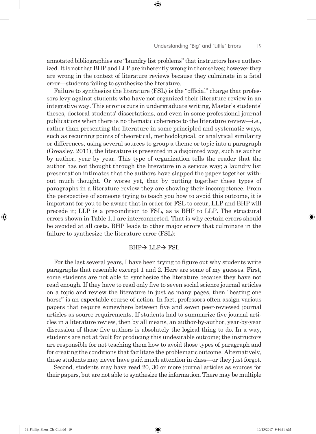annotated bibliographies are "laundry list problems" that instructors have authorized. It is not that BHP and LLP are inherently wrong in themselves; however they are wrong in the context of literature reviews because they culminate in a fatal error—students failing to synthesize the literature.

 $\textcircled{\scriptsize{*}}$ 

Failure to synthesize the literature (FSL) is the "official" charge that professors levy against students who have not organized their literature review in an integrative way. This error occurs in undergraduate writing, Master's students' theses, doctoral students' dissertations, and even in some professional journal publications when there is no thematic coherence to the literature review—i.e., rather than presenting the literature in some principled and systematic ways, such as recurring points of theoretical, methodological, or analytical similarity or differences, using several sources to group a theme or topic into a paragraph (Greasley, 2011), the literature is presented in a disjointed way, such as author by author, year by year. This type of organization tells the reader that the author has not thought through the literature in a serious way; a laundry list presentation intimates that the authors have slapped the paper together without much thought. Or worse yet, that by putting together these types of paragraphs in a literature review they are showing their incompetence. From the perspective of someone trying to teach you how to avoid this outcome, it is important for you to be aware that in order for FSL to occur, LLP and BHP will precede it; LLP is a precondition to FSL, as is BHP to LLP. The structural errors shown in Table 1.1 are interconnected. That is why certain errors should be avoided at all costs. BHP leads to other major errors that culminate in the failure to synthesize the literature error (FSL):

# $BHP \rightarrow LLP \rightarrow FSL$

For the last several years, I have been trying to figure out why students write paragraphs that resemble excerpt 1 and 2. Here are some of my guesses. First, some students are not able to synthesize the literature because they have not read enough. If they have to read only five to seven social science journal articles on a topic and review the literature in just as many pages, then "beating one horse" is an expectable course of action. In fact, professors often assign various papers that require somewhere between five and seven peer-reviewed journal articles as source requirements. If students had to summarize five journal articles in a literature review, then by all means, an author-by-author, year-by-year discussion of those five authors is absolutely the logical thing to do. In a way, students are not at fault for producing this undesirable outcome; the instructors are responsible for not teaching them how to avoid those types of paragraph and for creating the conditions that facilitate the problematic outcome. Alternatively, those students may never have paid much attention in class—or they just forgot.

Second, students may have read 20, 30 or more journal articles as sources for their papers, but are not able to synthesize the information. There may be multiple

⊕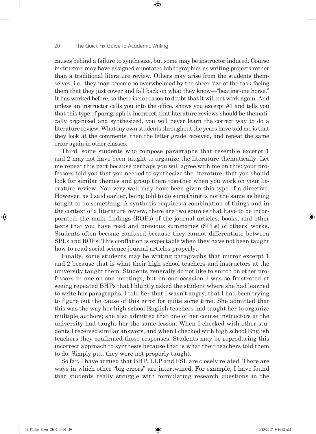causes behind a failure to synthesize, but some may be instructor induced. Course instructors may have assigned annotated bibliographies as writing projects rather than a traditional literature review. Others may arise from the students themselves, i.e., they may become so overwhelmed by the sheer size of the task facing them that they just cower and fall back on what they know—"beating one horse." It has worked before, so there is no reason to doubt that it will not work again. And unless an instructor calls you into the office, shows you excerpt #1 and tells you that this type of paragraph is incorrect, that literature reviews should be thematically organized and synthesized, you will never learn the correct way to do a literature review. What my own students throughout the years have told me is that they look at the comments, then the letter grade received, and repeat the same error again in other classes.

 $\textcircled{\scriptsize{*}}$ 

Third, some students who compose paragraphs that resemble excerpt 1 and 2 may not have been taught to organize the literature thematically. Let me repeat this part because perhaps you will agree with me on this: your professors told you that you needed to synthesize the literature, that you should look for similar themes and group them together when you work on your literature review. You very well may have been given this type of a directive. However, as I said earlier, being told to do something is not the same as being taught to do something. A synthesis requires a combination of things and in the context of a literature review, there are two sources that have to be incorporated: the main findings (ROFs) of the journal articles, books, and other texts that you have read and previous summaries (SPLs) of others' works. Students often become confused because they cannot differentiate between SPLs and ROFs. This conflation is expectable when they have not been taught how to read social science journal articles properly.

Finally, some students may be writing paragraphs that mirror excerpt 1 and 2 because that is what their high school teachers and instructors at the university taught them. Students generally do not like to snitch on other professors in one-on-one meetings, but on one occasion I was so frustrated at seeing repeated BHPs that I bluntly asked the student where she had learned to write her paragraphs. I told her that I wasn't angry, that I had been trying to figure out the cause of this error for quite some time. She admitted that this was the way her high school English teachers had taught her to organize multiple authors; she also admitted that one of her course instructors at the university had taught her the same lesson. When I checked with other students I received similar answers, and when I checked with high school English teachers they confirmed those responses. Students may be reproducing this incorrect approach to synthesis because that is what their teachers told them to do. Simply put, they were not properly taught.

So far, I have argued that BHP, LLP and FSL are closely related. There are ways in which other "big errors" are intertwined. For example, I have found that students really struggle with formulating research questions in the

⊕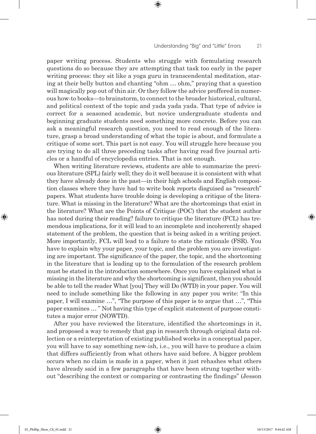paper writing process. Students who struggle with formulating research questions do so because they are attempting that task too early in the paper writing process: they sit like a yoga guru in transcendental meditation, staring at their belly button and chanting "ohm … ohm," praying that a question will magically pop out of thin air. Or they follow the advice proffered in numerous how-to books—to brainstorm, to connect to the broader historical, cultural, and political context of the topic and yada yada yada. That type of advice is correct for a seasoned academic, but novice undergraduate students and beginning graduate students need something more concrete. Before you can ask a meaningful research question, you need to read enough of the literature, grasp a broad understanding of what the topic is about, and formulate a critique of some sort. This part is not easy. You will struggle here because you are trying to do all three preceding tasks after having read five journal articles or a handful of encyclopedia entries. That is not enough.

 $\textcircled{\scriptsize{*}}$ 

When writing literature reviews, students are able to summarize the previous literature (SPL) fairly well; they do it well because it is consistent with what they have already done in the past—in their high schools and English composition classes where they have had to write book reports disguised as "research" papers. What students have trouble doing is developing a critique of the literature. What is missing in the literature? What are the shortcomings that exist in the literature? What are the Points of Critique (POC) that the student author has noted during their reading? failure to critique the literature (FCL) has tremendous implications, for it will lead to an incomplete and incoherently shaped statement of the problem, the question that is being asked in a writing project. More importantly, FCL will lead to a failure to state the rationale (FSR). You have to explain why your paper, your topic, and the problem you are investigating are important. The significance of the paper, the topic, and the shortcoming in the literature that is leading up to the formulation of the research problem must be stated in the introduction somewhere. Once you have explained what is missing in the literature and why the shortcoming is significant, then you should be able to tell the reader What [you] They will Do (WTD) in your paper. You will need to include something like the following in any paper you write: "In this paper, I will examine …", "The purpose of this paper is to argue that …", "This paper examines … " Not having this type of explicit statement of purpose constitutes a major error (NOWTD).

After you have reviewed the literature, identified the shortcomings in it, and proposed a way to remedy that gap in research through original data collection or a reinterpretation of existing published works in a conceptual paper, you will have to say something new-ish, i.e., you will have to produce a claim that differs sufficiently from what others have said before. A bigger problem occurs when no claim is made in a paper, when it just rehashes what others have already said in a few paragraphs that have been strung together without "describing the context or comparing or contrasting the findings" (Jesson

⊕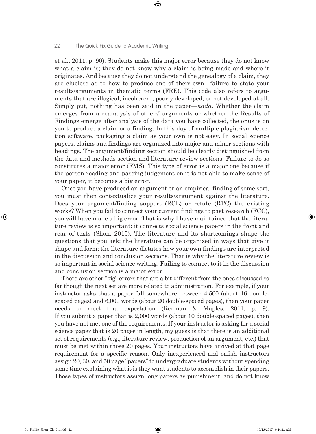et al., 2011, p. 90). Students make this major error because they do not know what a claim is; they do not know why a claim is being made and where it originates. And because they do not understand the genealogy of a claim, they are clueless as to how to produce one of their own—failure to state your results/arguments in thematic terms (FRE). This code also refers to arguments that are illogical, incoherent, poorly developed, or not developed at all. Simply put, nothing has been said in the paper—*nada*. Whether the claim emerges from a reanalysis of others' arguments or whether the Results of Findings emerge after analysis of the data you have collected, the onus is on you to produce a claim or a finding. In this day of multiple plagiarism detection software, packaging a claim as your own is not easy. In social science papers, claims and findings are organized into major and minor sections with headings. The argument/finding section should be clearly distinguished from the data and methods section and literature review sections. Failure to do so constitutes a major error (FMS). This type of error is a major one because if the person reading and passing judgement on it is not able to make sense of your paper, it becomes a big error.

 $\bigoplus$ 

Once you have produced an argument or an empirical finding of some sort, you must then contextualize your results/argument against the literature. Does your argument/finding support (RCL) or refute (RTC) the existing works? When you fail to connect your current findings to past research (FCC), you will have made a big error. That is why I have maintained that the literature review is so important: it connects social science papers in the front and rear of texts (Shon, 2015). The literature and its shortcomings shape the questions that you ask; the literature can be organized in ways that give it shape and form; the literature dictates how your own findings are interpreted in the discussion and conclusion sections. That is why the literature review is so important in social science writing. Failing to connect to it in the discussion and conclusion section is a major error.

There are other "big" errors that are a bit different from the ones discussed so far though the next set are more related to administration. For example, if your instructor asks that a paper fall somewhere between 4,500 (about 16 doublespaced pages) and 6,000 words (about 20 double-spaced pages), then your paper needs to meet that expectation (Redman & Maples, 2011, p. 9). If you submit a paper that is 2,000 words (about 10 double-spaced pages), then you have not met one of the requirements. If your instructor is asking for a social science paper that is 20 pages in length, my guess is that there is an additional set of requirements (e.g., literature review, production of an argument, etc.) that must be met within those 20 pages. Your instructors have arrived at that page requirement for a specific reason. Only inexperienced and oafish instructors assign 20, 30, and 50 page "papers" to undergraduate students without spending some time explaining what it is they want students to accomplish in their papers. Those types of instructors assign long papers as punishment, and do not know

⊕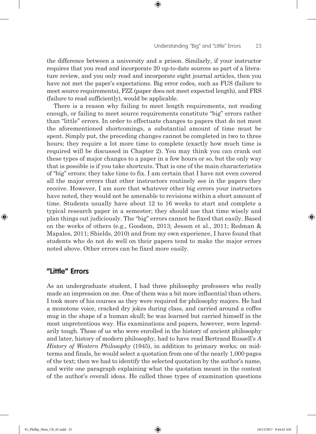the difference between a university and a prison. Similarly, if your instructor requires that you read and incorporate 20 up-to-date sources as part of a literature review, and you only read and incorporate eight journal articles, then you have not met the paper's expectations. Big error codes, such as FUS (failure to meet source requirements), FZZ (paper does not meet expected length), and FRS (failure to read sufficiently), would be applicable.

 $\textcircled{\scriptsize{*}}$ 

There is a reason why failing to meet length requirements, not reading enough, or failing to meet source requirements constitute "big" errors rather than "little" errors. In order to effectuate changes to papers that do not meet the aforementioned shortcomings, a substantial amount of time must be spent. Simply put, the preceding changes cannot be completed in two to three hours; they require a lot more time to complete (exactly how much time is required will be discussed in Chapter 2). You may think you can crank out these types of major changes to a paper in a few hours or so, but the only way that is possible is if you take shortcuts. That is one of the main characteristics of "big" errors: they take time to fix. I am certain that I have not even covered all the major errors that other instructors routinely see in the papers they receive. However, I am sure that whatever other big errors your instructors have noted, they would not be amenable to revisions within a short amount of time. Students usually have about 12 to 16 weeks to start and complete a typical research paper in a semester; they should use that time wisely and plan things out judiciously. The "big" errors cannot be fixed that easily. Based on the works of others (e.g., Goodson, 2013; Jesson et al., 2011; Redman & Mapales, 2011; Shields, 2010) and from my own experience, I have found that students who do not do well on their papers tend to make the major errors noted above. Other errors can be fixed more easily.

# **"Little" Errors**

⊕

As an undergraduate student, I had three philosophy professors who really made an impression on me. One of them was a bit more influential than others. I took more of his courses as they were required for philosophy majors. He had a monotone voice, cracked dry jokes during class, and carried around a coffee mug in the shape of a human skull; he was learned but carried himself in the most unpretentious way. His examinations and papers, however, were legendarily tough. Those of us who were enrolled in the history of ancient philosophy and later, history of modern philosophy, had to have read Bertrand Russell's *A History of Western Philosophy* (1945), in addition to primary works; on midterms and finals, he would select a quotation from one of the nearly 1,000 pages of the text; then we had to identify the selected quotation by the author's name, and write one paragraph explaining what the quotation meant in the context of the author's overall ideas. He called those types of examination questions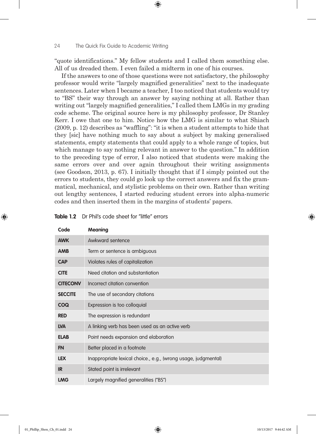"quote identifications." My fellow students and I called them something else. All of us dreaded them. I even failed a midterm in one of his courses.

 $\bigoplus$ 

If the answers to one of those questions were not satisfactory, the philosophy professor would write "largely magnified generalities" next to the inadequate sentences. Later when I became a teacher, I too noticed that students would try to "BS" their way through an answer by saying nothing at all. Rather than writing out "largely magnified generalities," I called them LMGs in my grading code scheme. The original source here is my philosophy professor, Dr Stanley Kerr. I owe that one to him. Notice how the LMG is similar to what Shiach (2009, p. 12) describes as "waffling": "it is when a student attempts to hide that they [sic] have nothing much to say about a subject by making generalised statements, empty statements that could apply to a whole range of topics, but which manage to say nothing relevant in answer to the question." In addition to the preceding type of error, I also noticed that students were making the same errors over and over again throughout their writing assignments (see Goodson, 2013, p. 67). I initially thought that if I simply pointed out the errors to students, they could go look up the correct answers and fix the grammatical, mechanical, and stylistic problems on their own. Rather than writing out lengthy sentences, I started reducing student errors into alpha-numeric codes and then inserted them in the margins of students' papers.

# **Table 1.2** Dr Phil's code sheet for "little" errors

| Code            | <b>Meaning</b>                                                 |
|-----------------|----------------------------------------------------------------|
| <b>AWK</b>      | Awkward sentence                                               |
| <b>AMB</b>      | Term or sentence is ambiguous                                  |
| <b>CAP</b>      | Violates rules of capitalization                               |
| <b>CITE</b>     | Need citation and substantiation                               |
| <b>CITECONV</b> | Incorrect citation convention                                  |
| <b>SECCITE</b>  | The use of secondary citations                                 |
| <b>COQ</b>      | Expression is too colloquial                                   |
| <b>RED</b>      | The expression is redundant                                    |
| <b>LVA</b>      | A linking verb has been used as an active verb                 |
| <b>ELAB</b>     | Point needs expansion and elaboration                          |
| <b>FN</b>       | Better placed in a footnote                                    |
| <b>LEX</b>      | Inappropriate lexical choice., e.g., (wrong usage, judgmental) |
| <b>IR</b>       | Stated point is irrelevant                                     |
| <b>LMG</b>      | Largely magnified generalities ("BS")                          |

01\_Phillip\_Shon\_Ch\_01.indd 24 10/13/2017 9:44:42 AM

⊕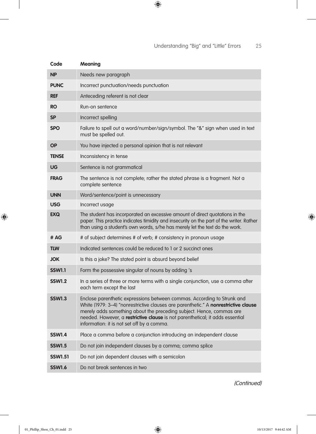| Code           | Meaning                                                                                                                                                                                                                                                                                                                                                               |
|----------------|-----------------------------------------------------------------------------------------------------------------------------------------------------------------------------------------------------------------------------------------------------------------------------------------------------------------------------------------------------------------------|
| <b>NP</b>      | Needs new paragraph                                                                                                                                                                                                                                                                                                                                                   |
| <b>PUNC</b>    | Incorrect punctuation/needs punctuation                                                                                                                                                                                                                                                                                                                               |
| <b>REF</b>     | Anteceding referent is not clear                                                                                                                                                                                                                                                                                                                                      |
| <b>RO</b>      | Run-on sentence                                                                                                                                                                                                                                                                                                                                                       |
| <b>SP</b>      | Incorrect spelling                                                                                                                                                                                                                                                                                                                                                    |
| <b>SPO</b>     | Failure to spell out a word/number/sign/symbol. The "&" sign when used in text<br>must be spelled out.                                                                                                                                                                                                                                                                |
| <b>OP</b>      | You have injected a personal opinion that is not relevant                                                                                                                                                                                                                                                                                                             |
| <b>TENSE</b>   | Inconsistency in tense                                                                                                                                                                                                                                                                                                                                                |
| <b>UG</b>      | Sentence is not grammatical                                                                                                                                                                                                                                                                                                                                           |
| <b>FRAG</b>    | The sentence is not complete; rather the stated phrase is a fragment. Not a<br>complete sentence                                                                                                                                                                                                                                                                      |
| <b>UNN</b>     | Word/sentence/point is unnecessary                                                                                                                                                                                                                                                                                                                                    |
| <b>USG</b>     | Incorrect usage                                                                                                                                                                                                                                                                                                                                                       |
| <b>EXQ</b>     | The student has incorporated an excessive amount of direct quotations in the<br>paper. This practice indicates timidity and insecurity on the part of the writer. Rather<br>than using a student's own words, s/he has merely let the text do the work.                                                                                                               |
| # AG           | # of subject determines # of verb; # consistency in pronoun usage                                                                                                                                                                                                                                                                                                     |
| <b>TLW</b>     | Indicated sentences could be reduced to 1 or 2 succinct ones                                                                                                                                                                                                                                                                                                          |
| <b>JOK</b>     | Is this a joke? The stated point is absurd beyond belief                                                                                                                                                                                                                                                                                                              |
| <b>SSW1.1</b>  | Form the possessive singular of nouns by adding 's                                                                                                                                                                                                                                                                                                                    |
| <b>SSW1.2</b>  | In a series of three or more terms with a single conjunction, use a comma after<br>each term except the last                                                                                                                                                                                                                                                          |
| <b>SSW1.3</b>  | Enclose parenthetic expressions between commas. According to Strunk and<br>White (1979: 3-4) "nonrestrictive clauses are parenthetic." A nonrestrictive clause<br>merely adds something about the preceding subject. Hence, commas are<br>needed. However, a restrictive clause is not parenthetical; it adds essential<br>information: it is not set off by a comma. |
| <b>SSW1.4</b>  | Place a comma before a conjunction introducing an independent clause                                                                                                                                                                                                                                                                                                  |
| <b>SSW1.5</b>  | Do not join independent clauses by a comma; comma splice                                                                                                                                                                                                                                                                                                              |
| <b>SSW1.51</b> | Do not join dependent clauses with a semicolon                                                                                                                                                                                                                                                                                                                        |
| <b>SSW1.6</b>  | Do not break sentences in two                                                                                                                                                                                                                                                                                                                                         |

 $\bigoplus$ 

*(Continued)*

 $\overline{\phantom{a}}$ 

 $\bigoplus$ 

 $\bigoplus$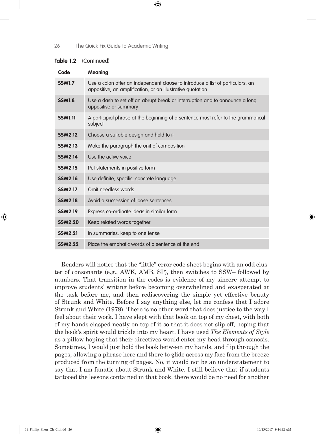| Code           | <b>Meaning</b>                                                                                                                               |
|----------------|----------------------------------------------------------------------------------------------------------------------------------------------|
| <b>SSW1.7</b>  | Use a colon after an independent clause to introduce a list of particulars, an<br>appositive, an amplification, or an illustrative quotation |
| <b>SSW1.8</b>  | Use a dash to set off an abrupt break or interruption and to announce a long<br>appositive or summary                                        |
| <b>SSW1.11</b> | A participial phrase at the beginning of a sentence must refer to the grammatical<br>subject                                                 |
| <b>SSW2.12</b> | Choose a suitable design and hold to it                                                                                                      |
| <b>SSW2.13</b> | Make the paragraph the unit of composition                                                                                                   |
| <b>SSW2.14</b> | Use the active voice                                                                                                                         |
| <b>SSW2.15</b> | Put statements in positive form                                                                                                              |
| <b>SSW2.16</b> | Use definite, specific, concrete language                                                                                                    |
| <b>SSW2.17</b> | Omit needless words                                                                                                                          |
| <b>SSW2.18</b> | Avoid a succession of loose sentences                                                                                                        |
| <b>SSW2.19</b> | Express co-ordinate ideas in similar form                                                                                                    |
| <b>SSW2.20</b> | Keep related words together                                                                                                                  |
| <b>SSW2.21</b> | In summaries, keep to one tense                                                                                                              |
| <b>SSW2.22</b> | Place the emphatic words of a sentence at the end                                                                                            |

 $\bigoplus$ 

#### **Table 1.2** (Continued)

Readers will notice that the "little" error code sheet begins with an odd cluster of consonants (e.g., AWK, AMB, SP), then switches to SSW– followed by numbers. That transition in the codes is evidence of my sincere attempt to improve students' writing before becoming overwhelmed and exasperated at the task before me, and then rediscovering the simple yet effective beauty of Strunk and White. Before I say anything else, let me confess that I adore Strunk and White (1979). There is no other word that does justice to the way I feel about their work. I have slept with that book on top of my chest, with both of my hands clasped neatly on top of it so that it does not slip off, hoping that the book's spirit would trickle into my heart. I have used *The Elements of Style* as a pillow hoping that their directives would enter my head through osmosis. Sometimes, I would just hold the book between my hands, and flip through the pages, allowing a phrase here and there to glide across my face from the breeze produced from the turning of pages. No, it would not be an understatement to say that I am fanatic about Strunk and White. I still believe that if students tattooed the lessons contained in that book, there would be no need for another

⊕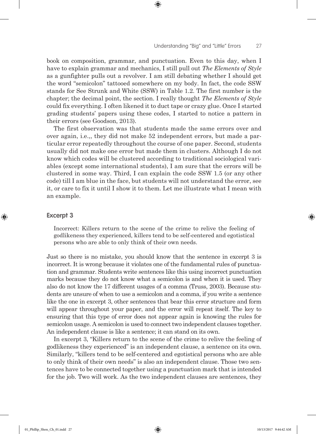book on composition, grammar, and punctuation. Even to this day, when I have to explain grammar and mechanics, I still pull out *The Elements of Style* as a gunfighter pulls out a revolver. I am still debating whether I should get the word "semicolon" tattooed somewhere on my body. In fact, the code SSW stands for See Strunk and White (SSW) in Table 1.2. The first number is the chapter; the decimal point, the section. I really thought *The Elements of Style* could fix everything. I often likened it to duct tape or crazy glue. Once I started grading students' papers using these codes, I started to notice a pattern in their errors (see Goodson, 2013).

 $\textcircled{\scriptsize{*}}$ 

The first observation was that students made the same errors over and over again, i.e.,, they did not make 52 independent errors, but made a particular error repeatedly throughout the course of one paper. Second, students usually did not make one error but made them in clusters. Although I do not know which codes will be clustered according to traditional sociological variables (except some international students), I am sure that the errors will be clustered in some way. Third, I can explain the code SSW 1.5 (or any other code) till I am blue in the face, but students will not understand the error, see it, or care to fix it until I show it to them. Let me illustrate what I mean with an example.

# **Excerpt 3**

⊕

Incorrect: Killers return to the scene of the crime to relive the feeling of godlikeness they experienced, killers tend to be self-centered and egotistical persons who are able to only think of their own needs.

Just so there is no mistake, you should know that the sentence in excerpt 3 is incorrect. It is wrong because it violates one of the fundamental rules of punctuation and grammar. Students write sentences like this using incorrect punctuation marks because they do not know what a semicolon is and when it is used. They also do not know the 17 different usages of a comma (Truss, 2003). Because students are unsure of when to use a semicolon and a comma, if you write a sentence like the one in excerpt 3, other sentences that bear this error structure and form will appear throughout your paper, and the error will repeat itself. The key to ensuring that this type of error does not appear again is knowing the rules for semicolon usage. A semicolon is used to connect two independent clauses together. An independent clause is like a sentence; it can stand on its own.

In excerpt 3, "Killers return to the scene of the crime to relive the feeling of godlikeness they experienced" is an independent clause, a sentence on its own. Similarly, "killers tend to be self-centered and egotistical persons who are able to only think of their own needs" is also an independent clause. Those two sentences have to be connected together using a punctuation mark that is intended for the job. Two will work. As the two independent clauses are sentences, they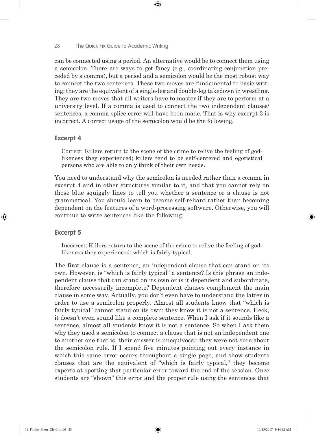can be connected using a period. An alternative would be to connect them using a semicolon. There are ways to get fancy (e.g., coordinating conjunction preceded by a comma), but a period and a semicolon would be the most robust way to connect the two sentences. These two moves are fundamental to basic writing; they are the equivalent of a single-leg and double-leg takedown in wrestling. They are two moves that all writers have to master if they are to perform at a university level. If a comma is used to connect the two independent clauses/ sentences, a comma splice error will have been made. That is why excerpt 3 is incorrect. A correct usage of the semicolon would be the following.

 $\textcircled{\scriptsize{*}}$ 

# **Excerpt 4**

Correct: Killers return to the scene of the crime to relive the feeling of godlikeness they experienced; killers tend to be self-centered and egotistical persons who are able to only think of their own needs.

You need to understand why the semicolon is needed rather than a comma in excerpt 4 and in other structures similar to it, and that you cannot rely on those blue squiggly lines to tell you whether a sentence or a clause is not grammatical. You should learn to become self-reliant rather than becoming dependent on the features of a word-processing software. Otherwise, you will continue to write sentences like the following.

# **Excerpt 5**

⊕

Incorrect: Killers return to the scene of the crime to relive the feeling of godlikeness they experienced; which is fairly typical.

The first clause is a sentence, an independent clause that can stand on its own. However, is "which is fairly typical" a sentence? Is this phrase an independent clause that can stand on its own or is it dependent and subordinate, therefore necessarily incomplete? Dependent clauses complement the main clause in some way. Actually, you don't even have to understand the latter in order to use a semicolon properly. Almost all students know that "which is fairly typical" cannot stand on its own; they know it is not a sentence. Heck, it doesn't even sound like a complete sentence. When I ask if it sounds like a sentence, almost all students know it is not a sentence. So when I ask them why they used a semicolon to connect a clause that is not an independent one to another one that is, their answer is unequivocal: they were not sure about the semicolon rule. If I spend five minutes pointing out every instance in which this same error occurs throughout a single page, and show students clauses that are the equivalent of "which is fairly typical," they become experts at spotting that particular error toward the end of the session. Once students are "shown" this error and the proper rule using the sentences that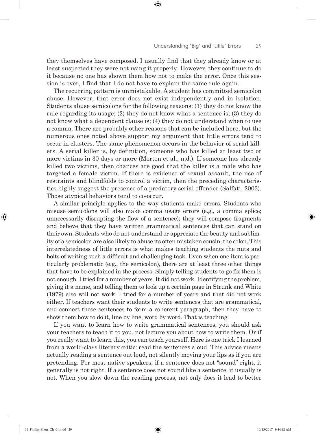they themselves have composed, I usually find that they already know or at least suspected they were not using it properly. However, they continue to do it because no one has shown them how not to make the error. Once this session is over, I find that I do not have to explain the same rule again.

 $\textcircled{\scriptsize{*}}$ 

The recurring pattern is unmistakable. A student has committed semicolon abuse. However, that error does not exist independently and in isolation. Students abuse semicolons for the following reasons: (1) they do not know the rule regarding its usage; (2) they do not know what a sentence is; (3) they do not know what a dependent clause is; (4) they do not understand when to use a comma. There are probably other reasons that can be included here, but the numerous ones noted above support my argument that little errors tend to occur in clusters. The same phenomenon occurs in the behavior of serial killers. A serial killer is, by definition, someone who has killed at least two or more victims in 30 days or more (Morton et al., n.d.). If someone has already killed two victims, then chances are good that the killer is a male who has targeted a female victim. If there is evidence of sexual assault, the use of restraints and blindfolds to control a victim, then the preceding characteristics highly suggest the presence of a predatory serial offender (Salfati, 2003). Those atypical behaviors tend to co-occur.

A similar principle applies to the way students make errors. Students who misuse semicolons will also make comma usage errors (e.g., a comma splice; unnecessarily disrupting the flow of a sentence); they will compose fragments and believe that they have written grammatical sentences that can stand on their own. Students who do not understand or appreciate the beauty and sublimity of a semicolon are also likely to abuse its often mistaken cousin, the colon. This interrelatedness of little errors is what makes teaching students the nuts and bolts of writing such a difficult and challenging task. Even when one item is particularly problematic (e.g., the semicolon), there are at least three other things that have to be explained in the process. Simply telling students to go fix them is not enough. I tried for a number of years. It did not work. Identifying the problem, giving it a name, and telling them to look up a certain page in Strunk and White (1979) also will not work. I tried for a number of years and that did not work either. If teachers want their students to write sentences that are grammatical, and connect those sentences to form a coherent paragraph, then they have to show them how to do it, line by line, word by word. That is teaching.

If you want to learn how to write grammatical sentences, you should ask your teachers to teach it to you, not lecture you about how to write them. Or if you really want to learn this, you can teach yourself. Here is one trick I learned from a world-class literary critic: read the sentences aloud. This advice means actually reading a sentence out loud, not silently moving your lips as if you are pretending. For most native speakers, if a sentence does not "sound" right, it generally is not right. If a sentence does not sound like a sentence, it usually is not. When you slow down the reading process, not only does it lead to better

⊕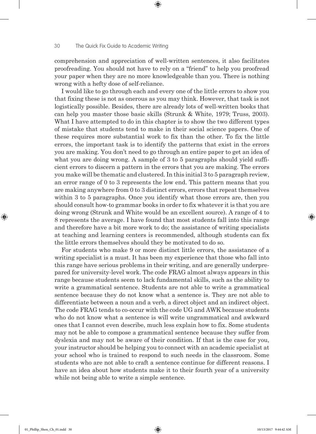comprehension and appreciation of well-written sentences, it also facilitates proofreading. You should not have to rely on a "friend" to help you proofread your paper when they are no more knowledgeable than you. There is nothing wrong with a hefty dose of self-reliance.

 $\textcircled{\scriptsize{*}}$ 

I would like to go through each and every one of the little errors to show you that fixing these is not as onerous as you may think. However, that task is not logistically possible. Besides, there are already lots of well-written books that can help you master those basic skills (Strunk & White, 1979; Truss, 2003). What I have attempted to do in this chapter is to show the two different types of mistake that students tend to make in their social science papers. One of these requires more substantial work to fix than the other. To fix the little errors, the important task is to identify the patterns that exist in the errors you are making. You don't need to go through an entire paper to get an idea of what you are doing wrong. A sample of 3 to 5 paragraphs should yield sufficient errors to discern a pattern in the errors that you are making. The errors you make will be thematic and clustered. In this initial 3 to 5 paragraph review, an error range of 0 to 3 represents the low end. This pattern means that you are making anywhere from 0 to 3 distinct errors, errors that repeat themselves within 3 to 5 paragraphs. Once you identify what those errors are, then you should consult how-to grammar books in order to fix whatever it is that you are doing wrong (Strunk and White would be an excellent source). A range of 4 to 8 represents the average. I have found that most students fall into this range and therefore have a bit more work to do; the assistance of writing specialists at teaching and learning centers is recommended, although students can fix the little errors themselves should they be motivated to do so.

For students who make 9 or more distinct little errors, the assistance of a writing specialist is a must. It has been my experience that those who fall into this range have serious problems in their writing, and are generally underprepared for university-level work. The code FRAG almost always appears in this range because students seem to lack fundamental skills, such as the ability to write a grammatical sentence. Students are not able to write a grammatical sentence because they do not know what a sentence is. They are not able to differentiate between a noun and a verb, a direct object and an indirect object. The code FRAG tends to co-occur with the code UG and AWK because students who do not know what a sentence is will write ungrammatical and awkward ones that I cannot even describe, much less explain how to fix. Some students may not be able to compose a grammatical sentence because they suffer from dyslexia and may not be aware of their condition. If that is the case for you, your instructor should be helping you to connect with an academic specialist at your school who is trained to respond to such needs in the classroom. Some students who are not able to craft a sentence continue for different reasons. I have an idea about how students make it to their fourth year of a university while not being able to write a simple sentence.

⊕